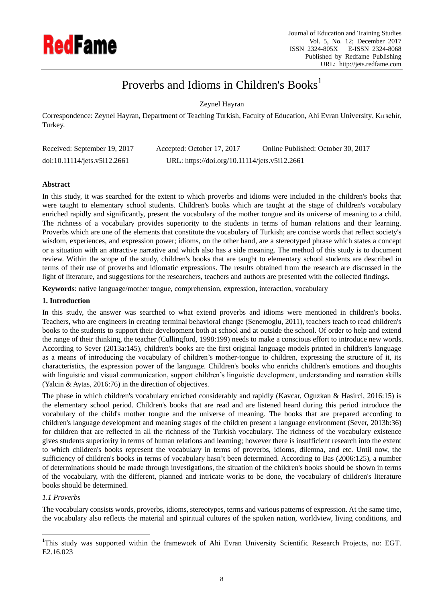

# Proverbs and Idioms in Children's Books<sup>1</sup>

Zeynel Hayran

Correspondence: Zeynel Hayran, Department of Teaching Turkish, Faculty of Education, Ahi Evran University, Kırsehir, Turkey.

| Received: September 19, 2017 | Accepted: October 17, 2017                    | Online Published: October 30, 2017 |
|------------------------------|-----------------------------------------------|------------------------------------|
| doi:10.11114/jets.v5i12.2661 | URL: https://doi.org/10.11114/jets.v5i12.2661 |                                    |

# **Abstract**

In this study, it was searched for the extent to which proverbs and idioms were included in the children's books that were taught to elementary school students. Children's books which are taught at the stage of children's vocabulary enriched rapidly and significantly, present the vocabulary of the mother tongue and its universe of meaning to a child. The richness of a vocabulary provides superiority to the students in terms of human relations and their learning. Proverbs which are one of the elements that constitute the vocabulary of Turkish; are concise words that reflect society's wisdom, experiences, and expression power; idioms, on the other hand, are a stereotyped phrase which states a concept or a situation with an attractive narrative and which also has a side meaning. The method of this study is to document review. Within the scope of the study, children's books that are taught to elementary school students are described in terms of their use of proverbs and idiomatic expressions. The results obtained from the research are discussed in the light of literature, and suggestions for the researchers, teachers and authors are presented with the collected findings.

**Keywords**: native language/mother tongue, comprehension, expression, interaction, vocabulary

# **1. Introduction**

In this study, the answer was searched to what extend proverbs and idioms were mentioned in children's books. Teachers, who are engineers in creating terminal behavioral change (Senemoglu, 2011), teachers teach to read children's books to the students to support their development both at school and at outside the school. Of order to help and extend the range of their thinking, the teacher (Cullingford, 1998:199) needs to make a conscious effort to introduce new words. According to Sever (2013a:145), children's books are the first original language models printed in children's language as a means of introducing the vocabulary of children's mother-tongue to children, expressing the structure of it, its characteristics, the expression power of the language. Children's books who enrichs children's emotions and thoughts with linguistic and visual communication, support children's linguistic development, understanding and narration skills (Yalcin & Aytas, 2016:76) in the direction of objectives.

The phase in which children's vocabulary enriched considerably and rapidly (Kavcar, Oguzkan & Hasirci, 2016:15) is the elementary school period. Children's books that are read and are listened heard during this period introduce the vocabulary of the child's mother tongue and the universe of meaning. The books that are prepared according to children's language development and meaning stages of the children present a language environment (Sever, 2013b:36) for children that are reflected in all the richness of the Turkish vocabulary. The richness of the vocabulary existence gives students superiority in terms of human relations and learning; however there is insufficient research into the extent to which children's books represent the vocabulary in terms of proverbs, idioms, dilemna, and etc. Until now, the sufficiency of children's books in terms of vocabulary hasn't been determined. According to Bas (2006:125), a number of determinations should be made through investigations, the situation of the children's books should be shown in terms of the vocabulary, with the different, planned and intricate works to be done, the vocabulary of children's literature books should be determined.

# *1.1 Proverbs*

 $\overline{a}$ 

The vocabulary consists words, proverbs, idioms, stereotypes, terms and various patterns of expression. At the same time, the vocabulary also reflects the material and spiritual cultures of the spoken nation, worldview, living conditions, and

<sup>&</sup>lt;sup>1</sup>This study was supported within the framework of Ahi Evran University Scientific Research Projects, no: EGT. E2.16.023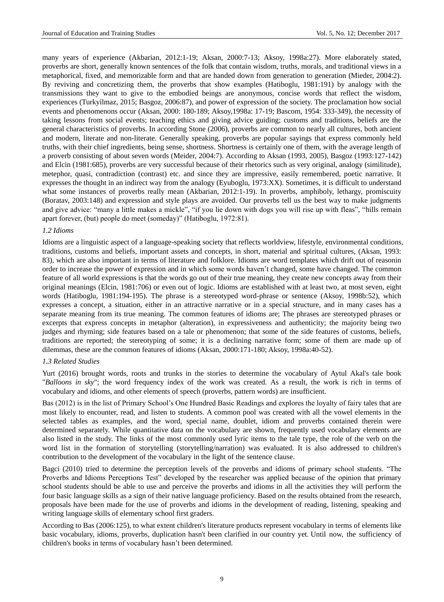many years of experience (Akbarian, 2012:1-19; Aksan, 2000:7-13; Aksoy, 1998a:27). More elaborately stated, proverbs are short, generally known sentences of the folk that contain wisdom, truths, morals, and traditional views in a metaphorical, fixed, and memorizable form and that are handed down from generation to generation (Mieder, 2004:2). By reviving and concretizing them, the proverbs that show examples (Hatiboglu, 1981:191) by analogy with the transmissions they want to give to the embodied beings are anonymous, concise words that reflect the wisdom, experiences (Turkyilmaz, 2015; Basgoz, 2006:87), and power of expression of the society. The proclamation how social events and phenomenons occur (Aksan, 2000: 180-189; Aksoy,1998a: 17-19; Bascom, 1954: 333-349), the necessity of taking lessons from social events; teaching ethics and giving advice guiding; customs and traditions, beliefs are the general characteristics of proverbs. In according Stone (2006), proverbs are common to nearly all cultures, both ancient and modern, literate and non-literate. Generally speaking, proverbs are popular sayings that express commonly held truths, with their chief ingredients, being sense, shortness. Shortness is certainly one of them, with the average length of a proverb consisting of about seven words (Meider, 2004:7). According to Aksan (1993, 2005), Basgoz (1993:127-142) and Elcin (1981:685), proverbs are very successful because of their rhetorics such as very original, analogy (similitude), metephor, quasi, contradiction (contrast) etc. and since they are impressive, easily remembered, poetic narrative. It expresses the thought in an indirect way from the analogy (Eyuboglu, 1973:XX). Sometimes, it is difficult to understand what some instances of proverbs really mean (Akbarian, 2012:1-19). In proverbs, amphiboly, lethargy, promiscuity (Boratav, 2003:148) and expression and style plays are avoided. Our proverbs tell us the best way to make judgments and give advice: "many a little makes a mickle", "if you lie down with dogs you will rise up with fleas", "hills remain apart forever, (but) people do meet (someday)" (Hatiboglu, 1972:81).

#### *1.2 Idioms*

Idioms are a linguistic aspect of a language-speaking society that reflects worldview, lifestyle, environmental conditions, traditions, customs and beliefs, important assets and concepts, in short, material and spiritual cultures, (Aksan, 1993: 83), which are also important in terms of literature and folklore. Idioms are word templates which drift out of reasonin order to increase the power of expression and in which some words haven't changed, some have changed. The common feature of all world expressions is that the words go out of their true meaning, they create new concepts away from their original meanings (Elcin, 1981:706) or even out of logic. Idioms are established with at least two, at most seven, eight words (Hatiboglu, 1981:194-195). The phrase is a stereotyped word-phrase or sentence (Aksoy, 1998b:52), which expresses a concept, a situation, either in an attractive narrative or in a special structure, and in many cases has a separate meaning from its true meaning. The common features of idioms are; The phrases are stereotyped phrases or excerpts that express concepts in metaphor (alteration), in expressiveness and authenticity; the majority being two judges and rhyming; side features based on a tale or phenomenon; that some of the side features of customs, beliefs, traditions are reported; the stereotyping of some; it is a declining narrative form; some of them are made up of dilemmas, these are the common features of idioms (Aksan, 2000:171-180; Aksoy, 1998a:40-52).

## *1.3 Related Studies*

Yurt (2016) brought words, roots and trunks in the stories to determine the vocabulary of Aytul Akal's tale book "*Balloons in sky*"; the word frequency index of the work was created. As a result, the work is rich in terms of vocabulary and idioms, and other elements of speech (proverbs, pattern words) are insufficient.

Bas (2012) is in the list of Primary School's One Hundred Basic Readings and explores the loyalty of fairy tales that are most likely to encounter, read, and listen to students. A common pool was created with all the vowel elements in the selected tables as examples, and the word, special name, doublet, idiom and proverbs contained therein were determined separately. While quantitative data on the vocabulary are shown, frequently used vocabulary elements are also listed in the study. The links of the most commonly used lyric items to the tale type, the role of the verb on the word list in the formation of storytelling (storytelling/narration) was evaluated. It is also addressed to children's contribution to the development of the vocabulary in the light of the sentence clause.

Bagci (2010) tried to determine the perception levels of the proverbs and idioms of primary school students. "The Proverbs and Idioms Perceptions Test" developed by the researcher was applied because of the opinion that primary school students should be able to use and perceive the proverbs and idioms in all the activities they will perform the four basic language skills as a sign of their native language proficiency. Based on the results obtained from the research, proposals have been made for the use of proverbs and idioms in the development of reading, listening, speaking and writing language skills of elementary school first graders.

According to Bas (2006:125), to what extent children's literature products represent vocabulary in terms of elements like basic vocabulary, idioms, proverbs, duplication hasn't been clarified in our country yet. Until now, the sufficiency of children's books in terms of vocabulary hasn't been determined.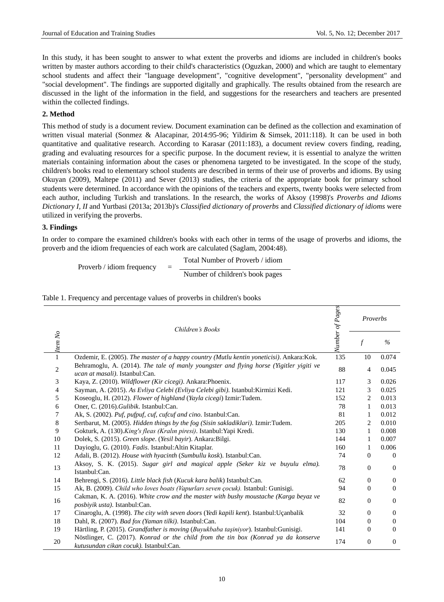In this study, it has been sought to answer to what extent the proverbs and idioms are included in children's books written by master authors according to their child's characteristics (Oguzkan, 2000) and which are taught to elementary school students and affect their "language development", "cognitive development", "personality development" and "social development". The findings are supported digitally and graphically. The results obtained from the research are discussed in the light of the information in the field, and suggestions for the researchers and teachers are presented within the collected findings.

## **2. Method**

This method of study is a document review. Document examination can be defined as the collection and examination of written visual material (Sonmez & Alacapinar, 2014:95-96; Yildirim & Simsek, 2011:118). It can be used in both quantitative and qualitative research. According to Karasar (2011:183), a document review covers finding, reading, grading and evaluating resources for a specific purpose. In the document review, it is essential to analyze the written materials containing information about the cases or phenomena targeted to be investigated. In the scope of the study, children's books read to elementary school students are described in terms of their use of proverbs and idioms. By using Okuyan (2009), Maltepe (2011) and Sever (2013) studies, the criteria of the appropriate book for primary school students were determined. In accordance with the opinions of the teachers and experts, twenty books were selected from each author, including Turkish and translations. In the research, the works of Aksoy (1998)'s *Proverbs and Idioms Dictionary I, II* and Yurtbasi (2013a; 2013b)'s *Classified dictionary of proverbs* and *Classified dictionary of idioms* were utilized in verifying the proverbs.

## **3. Findings**

In order to compare the examined children's books with each other in terms of the usage of proverbs and idioms, the proverb and the idiom frequencies of each work are calculated (Saglam, 2004:48).

Total Number of Proverb / idiom

Number of children's book pages

|  |  | Table 1. Frequency and percentage values of proverbs in children's books |
|--|--|--------------------------------------------------------------------------|
|  |  |                                                                          |

Proverb / idiom frequency  $=$ 

|            | Children's Books<br>$-$ <i>Item No</i>                                                                                       |     | Proverbs       |                |
|------------|------------------------------------------------------------------------------------------------------------------------------|-----|----------------|----------------|
|            |                                                                                                                              |     | $\mathcal{f}$  | $\frac{0}{0}$  |
|            | Ozdemir, E. (2005). The master of a happy country (Mutlu kentin yoneticisi). Ankara: Kok.                                    | 135 | 10             | 0.074          |
| $\sqrt{2}$ | Behramoglu, A. (2014). The tale of manly youngster and flying horse (Yigitler yigiti ve<br>ucan at masali). Istanbul:Can.    | 88  | 4              | 0.045          |
| 3          | Kaya, Z. (2010). Wildflower (Kir cicegi). Ankara: Phoenix.                                                                   | 117 | 3              | 0.026          |
| 4          | Sayman, A. (2015). As Evliya Celebi (Evliya Celebi gibi). Istanbul: Kirmizi Kedi.                                            | 121 | 3              | 0.025          |
| 5          | Koseoglu, H. (2012). Flower of highland (Yayla cicegi) Izmir:Tudem.                                                          | 152 | 2              | 0.013          |
| 6          | Oner, C. (2016). Gulibik. Istanbul: Can.                                                                                     | 78  | 1              | 0.013          |
| 7          | Ak, S. (2002). Puf, pufpuf, cuf, cufcuf and cino. Istanbul:Can.                                                              | 81  | 1              | 0.012          |
| 8          | Sertbarut, M. (2005). Hidden things by the fog (Sisin sakladiklari). Izmir:Tudem.                                            | 205 | 2              | 0.010          |
| 9          | Gokturk, A. (130). King's fleas (Kralın piresi). Istanbul: Yapi Kredi.                                                       | 130 | 1              | 0.008          |
| 10         | Dolek, S. (2015). Green slope. (Yesil bayir). Ankara: Bilgi.                                                                 | 144 | 1              | 0.007          |
| 11         | Dayioglu, G. (2010). Fadis. Istanbul: Altin Kitaplar.                                                                        | 160 | 1              | 0.006          |
| 12         | Adali, B. (2012). House with hyacinth (Sumbullu kosk). Istanbul:Can.                                                         | 74  | $\overline{0}$ | $\Omega$       |
| 13         | Aksoy, S. K. (2015). Sugar girl and magical apple (Seker kiz ve buyulu elma).<br>Istanbul:Can.                               | 78  | $\mathbf{0}$   | $\overline{0}$ |
| 14         | Behrengi, S. (2016). Little black fish (Kucuk kara balik) Istanbul:Can.                                                      | 62  | $\Omega$       | $\Omega$       |
| 15         | Ak, B. (2009). Child who loves boats (Vapurları seven çocuk). Istanbul: Gunisigi.                                            | 94  | $\mathbf{0}$   | $\Omega$       |
| 16         | Cakman, K. A. (2016). White crow and the master with bushy moustache (Karga beyaz ve<br>posbivik usta). Istanbul:Can.        | 82  | $\mathbf{0}$   | $\mathbf{0}$   |
| 17         | Cinaroglu, A. (1998). The city with seven doors (Yedi kapili kent). Istanbul: U çanbalik                                     | 32  | $\Omega$       | $\Omega$       |
| 18         | Dahl, R. (2007). Bad fox (Yaman tilki). Istanbul:Can.                                                                        | 104 | $\mathbf{0}$   | $\Omega$       |
| 19         | Härtling, P. (2015). Grandfather is moving (Buyukbaba taşiniyor). Istanbul: Gunisigi.                                        | 141 | $\mathbf{0}$   | $\Omega$       |
| 20         | Nöstlinger, C. (2017). Konrad or the child from the tin box (Konrad ya da konserve<br>kutusundan cikan cocuk). Istanbul:Can. | 174 | $\mathbf{0}$   | $\Omega$       |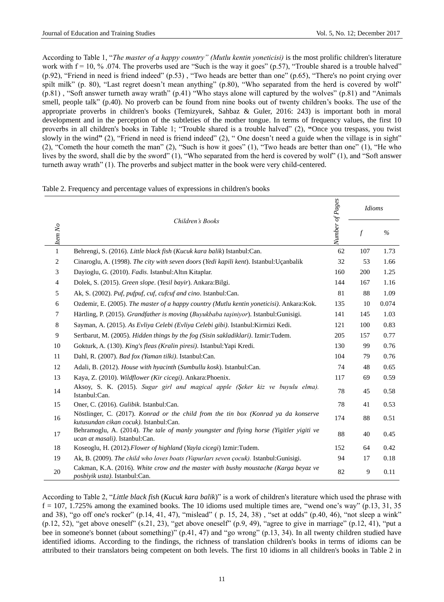According to Table 1, "*The master of a happy country" (Mutlu kentin yoneticisi)* is the most prolific children's literature work with  $f = 10, \%$  .074. The proverbs used are "Such is the way it goes" (p.57), "Trouble shared is a trouble halved" (p.92), "Friend in need is friend indeed" (p.53) , "Two heads are better than one" (p.65), "There's no point crying over spilt milk" (p. 80), "Last regret doesn't mean anything" (p.80), "Who separated from the herd is covered by wolf" (p.81) , "Soft answer turneth away wrath" (p.41) "Who stays alone will captured by the wolves" (p.81) and "Animals smell, people talk" (p.40). No proverb can be found from nine books out of twenty children's books. The use of the appropriate proverbs in children's books (Temizyurek, Sahbaz & Guler, 2016: 243) is important both in moral development and in the perception of the subtleties of the mother tongue. In terms of frequency values, the first 10 proverbs in all children's books in Table 1; "Trouble shared is a trouble halved" (2), **"**Once you trespass, you twist slowly in the wind**"** (2), "Friend in need is friend indeed" (2), " One doesn't need a guide when the village is in sight" (2), "Cometh the hour cometh the man" (2), "Such is how it goes" (1), "Two heads are better than one" (1), "He who lives by the sword, shall die by the sword" (1), "Who separated from the herd is covered by wolf" (1), and "Soft answer turneth away wrath" (1). The proverbs and subject matter in the book were very child-centered.

| Table 2. Frequency and percentage values of expressions in children's books |  |  |  |
|-----------------------------------------------------------------------------|--|--|--|
|                                                                             |  |  |  |

|                             |                                                                                                                              | Number of Pages | <b>Idioms</b>  |       |
|-----------------------------|------------------------------------------------------------------------------------------------------------------------------|-----------------|----------------|-------|
| Children's Books<br>Item No |                                                                                                                              |                 | $\overline{f}$ | $\%$  |
| $\mathbf{1}$                | Behrengi, S. (2016). Little black fish (Kucuk kara balik) Istanbul:Can.                                                      | 62              | 107            | 1.73  |
| $\overline{c}$              | Cinaroglu, A. (1998). The city with seven doors (Yedi kapili kent). Istanbul: U çanbalik                                     | 32              | 53             | 1.66  |
| 3                           | Dayioglu, G. (2010). Fadis. Istanbul: Altın Kitaplar.                                                                        | 160             | 200            | 1.25  |
| $\overline{4}$              | Dolek, S. (2015). Green slope. (Yesil bayir). Ankara:Bilgi.                                                                  | 144             | 167            | 1.16  |
| 5                           | Ak, S. (2002). Puf, pufpuf, cuf, cufcuf and cino. Istanbul:Can.                                                              | 81              | 88             | 1.09  |
| 6                           | Ozdemir, E. (2005). The master of a happy country (Mutlu kentin yoneticisi). Ankara: Kok.                                    | 135             | 10             | 0.074 |
| 7                           | Härtling, P. (2015). Grandfather is moving (Buyukbaba taşiniyor). Istanbul: Gunisigi.                                        | 141             | 145            | 1.03  |
| 8                           | Sayman, A. (2015). As Evliya Celebi (Evliya Celebi gibi). Istanbul: Kirmizi Kedi.                                            | 121             | 100            | 0.83  |
| 9                           | Sertbarut, M. (2005). Hidden things by the fog (Sisin sakladiklari). Izmir:Tudem.                                            | 205             | 157            | 0.77  |
| 10                          | Gokturk, A. (130). King's fleas (Kralin piresi). Istanbul: Yapi Kredi.                                                       | 130             | 99             | 0.76  |
| 11                          | Dahl, R. (2007). Bad fox (Yaman tilki). Istanbul:Can.                                                                        | 104             | 79             | 0.76  |
| 12                          | Adali, B. (2012). House with hyacinth (Sumbullu kosk). Istanbul:Can.                                                         | 74              | 48             | 0.65  |
| 13                          | Kaya, Z. (2010). Wildflower (Kir cicegi). Ankara: Phoenix.                                                                   | 117             | 69             | 0.59  |
| 14                          | Aksoy, S. K. (2015). Sugar girl and magical apple (Şeker kiz ve buyulu elma).<br>Istanbul:Can.                               | 78              | 45             | 0.58  |
| 15                          | Oner, C. (2016). Gulibik. Istanbul:Can.                                                                                      | 78              | 41             | 0.53  |
| 16                          | Nöstlinger, C. (2017). Konrad or the child from the tin box (Konrad ya da konserve<br>kutusundan cikan cocuk). Istanbul:Can. | 174             | 88             | 0.51  |
| 17                          | Behramoglu, A. (2014). The tale of manly youngster and flying horse (Yigitler yigiti ve<br>ucan at masali). Istanbul:Can.    | 88              | 40             | 0.45  |
| 18                          | Koseoglu, H. (2012). Flower of highland (Yayla cicegi) Izmir: Tudem.                                                         | 152             | 64             | 0.42  |
| 19                          | Ak, B. (2009). The child who loves boats (Vapurları seven çocuk). Istanbul: Gunisigi.                                        | 94              | 17             | 0.18  |
| 20                          | Cakman, K.A. (2016). White crow and the master with bushy moustache (Karga beyaz ve<br>posbiyik usta). Istanbul:Can.         | 82              | 9              | 0.11  |

According to Table 2, "*Little black fish* (*Kucuk kara balik*)" is a work of children's literature which used the phrase with  $f = 107$ , 1.725% among the examined books. The 10 idioms used multiple times are, "wend one's way" (p.13, 31, 35) and 38), "go off one's rocker" (p.14, 41, 47), "mislead" ( p. 15, 24, 38) , "set at odds" (p.40, 46), "not sleep a wink" (p.12, 52), "get above oneself" (s.21, 23), "get above oneself" (p.9, 49), "agree to give in marriage" (p.12, 41), "put a bee in someone's bonnet (about something)" (p.41, 47) and "go wrong" (p.13, 34). In all twenty children studied have identified idioms. According to the findings, the richness of translation children's books in terms of idioms can be attributed to their translators being competent on both levels. The first 10 idioms in all children's books in Table 2 in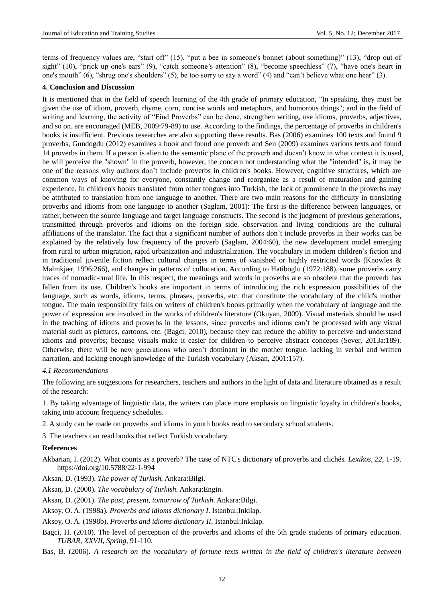terms of frequency values are, "start off" (15), "put a bee in someone's bonnet (about something)" (13), "drop out of sight" (10), "prick up one's ears" (9), "catch someone's attention" (8), "become speechless" (7), "have one's heart in one's mouth" (6), "shrug one's shoulders" (5), be too sorry to say a word" (4) and "can't believe what one hear" (3).

#### **4. Conclusion and Discussion**

It is mentioned that in the field of speech learning of the 4th grade of primary education, "In speaking, they must be given the use of idiom, proverb, rhyme, corn, concise words and metaphors, and humorous things"; and in the field of writing and learning, the activity of "Find Proverbs" can be done, strengthen writing, use idioms, proverbs, adjectives, and so on. are encouraged (MEB, 2009:79-89) to use. According to the findings, the percentage of proverbs in children's books is insufficient. Previous researches are also supporting these results. Bas (2006) examines 100 texts and found 9 proverbs, Gundogdu (2012) examines a book and found one proverb and Sen (2009) examines various texts and found 14 proverbs in them. If a person is alien to the semantic plane of the proverb and doesn't know in what context it is used, he will perceive the "shown" in the proverb, however, the concern not understanding what the "intended" is, it may be one of the reasons why authors don't include proverbs in children's books. However, cognitive structures, which are common ways of knowing for everyone, constantly change and reorganize as a result of maturation and gaining experience. In children's books translated from other tongues into Turkish, the lack of prominence in the proverbs may be attributed to translation from one language to another. There are two main reasons for the difficulty in translating proverbs and idioms from one language to another (Saglam, 2001): The first is the difference between languages, or rather, between the source language and target language constructs. The second is the judgment of previous generations, transmitted through proverbs and idioms on the foreign side. observation and living conditions are the cultural affiliations of the translator. The fact that a significant number of authors don't include proverbs in their works can be explained by the relatively low frequency of the proverb (Saglam, 2004:60), the new development model emerging from rural to urban migration, rapid urbanization and industrialization. The vocabulary in modern children's fiction and in traditional juvenile fiction reflect cultural changes in terms of vanished or highly restricted words (Knowles & Malmkjær, 1996:266), and changes in patterns of collocation. According to Hatiboglu (1972:188), some proverbs carry traces of nomadic-rural life. In this respect, the meanings and words in proverbs are so obsolete that the proverb has fallen from its use. Children's books are important in terms of introducing the rich expression possibilities of the language, such as words, idioms, terms, phrases, proverbs, etc. that constitute the vocabulary of the child's mother tongue. The main responsibility falls on writers of children's books primarily when the vocabulary of language and the power of expression are involved in the works of children's literature (Okuyan, 2009). Visual materials should be used in the teaching of idioms and proverbs in the lessons, since proverbs and idioms can't be processed with any visual material such as pictures, cartoons, etc. (Bagci, 2010), because they can reduce the ability to perceive and understand idioms and proverbs; because visuals make it easier for children to perceive abstract concepts (Sever, 2013a:189). Otherwise, there will be new generations who aren't dominant in the mother tongue, lacking in verbal and written narration, and lacking enough knowledge of the Turkish vocabulary (Aksan, 2001:157).

#### *4.1 Recommendations*

The following are suggestions for researchers, teachers and authors in the light of data and literature obtained as a result of the research:

1. By taking advantage of linguistic data, the writers can place more emphasis on linguistic loyalty in children's books, taking into account frequency schedules.

- 2. A study can be made on proverbs and idioms in youth books read to secondary school students.
- 3. The teachers can read books that reflect Turkish vocabulary.

#### **References**

- Akbarian, I. (2012). What counts as a proverb? The case of NTC's dictionary of proverbs and clichés*. Lexikos, 22*, 1-19. <https://doi.org/10.5788/22-1-994>
- Aksan, D. (1993). *The power of Turkish.* Ankara:Bilgi.
- Aksan, D. (2000). *The vocabulary of Turkish.* Ankara:Engin.
- Aksan, D. (2001). *The past, present, tomorrow of Turkish*. Ankara:Bilgi.
- Aksoy, O. A. (1998a). *Proverbs and idioms dictionary I*. Istanbul:Inkilap.
- Aksoy, O. A. (1998b). *Proverbs and idioms dictionary II*. Istanbul:Inkilap.
- Bagci, H. (2010). The level of perception of the proverbs and idioms of the 5th grade students of primary education. *TUBAR*, *XXVII*, *Spring*, 91-110.
- Bas, B. (2006). *A research on the vocabulary of fortune texts written in the field of children's literature between*